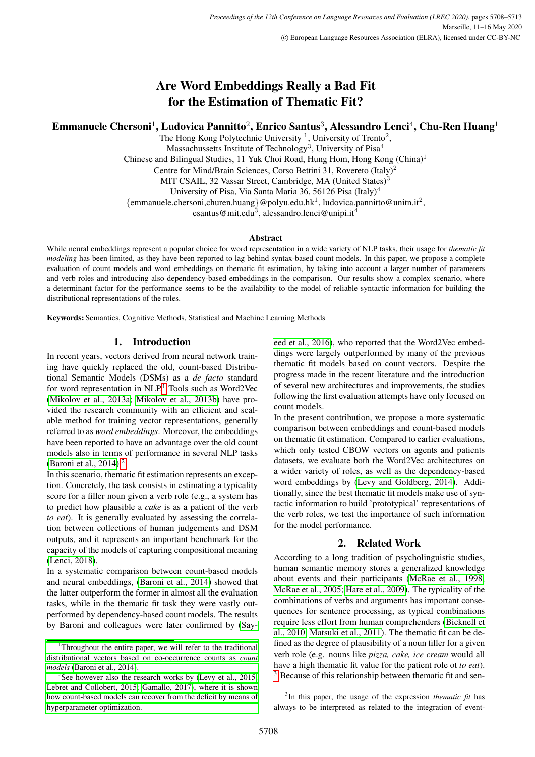# Are Word Embeddings Really a Bad Fit for the Estimation of Thematic Fit?

# Emmanuele Chersoni<sup>1</sup>, Ludovica Pannitto<sup>2</sup>, Enrico Santus<sup>3</sup>, Alessandro Lenci<sup>4</sup>, Chu-Ren Huang<sup>1</sup>

The Hong Kong Polytechnic University  $1$ , University of Trento<sup>2</sup>, Massachussetts Institute of Technology<sup>3</sup>, University of Pisa<sup>4</sup> Chinese and Bilingual Studies, 11 Yuk Choi Road, Hung Hom, Hong Kong (China)<sup>1</sup> Centre for Mind/Brain Sciences, Corso Bettini 31, Rovereto (Italy)<sup>2</sup> MIT CSAIL, 32 Vassar Street, Cambridge, MA (United States)<sup>3</sup> University of Pisa, Via Santa Maria 36, 56126 Pisa (Italy)<sup>4</sup> {emmanuele.chersoni,churen.huang}@polyu.edu.hk<sup>1</sup>, ludovica.pannitto@unitn.it<sup>2</sup>, esantus@mit.edu<sup>3</sup>, alessandro.lenci@unipi.it<sup>4</sup>

#### Abstract

While neural embeddings represent a popular choice for word representation in a wide variety of NLP tasks, their usage for *thematic fit modeling* has been limited, as they have been reported to lag behind syntax-based count models. In this paper, we propose a complete evaluation of count models and word embeddings on thematic fit estimation, by taking into account a larger number of parameters and verb roles and introducing also dependency-based embeddings in the comparison. Our results show a complex scenario, where a determinant factor for the performance seems to be the availability to the model of reliable syntactic information for building the distributional representations of the roles.

Keywords: Semantics, Cognitive Methods, Statistical and Machine Learning Methods

# 1. Introduction

In recent years, vectors derived from neural network training have quickly replaced the old, count-based Distributional Semantic Models (DSMs) as a *de facto* standard for word representation in NLP.<sup>[1](#page-0-0)</sup> Tools such as Word2Vec [\(Mikolov et al., 2013a;](#page-5-0) [Mikolov et al., 2013b\)](#page-5-1) have provided the research community with an efficient and scalable method for training vector representations, generally referred to as *word embeddings*. Moreover, the embeddings have been reported to have an advantage over the old count models also in terms of performance in several NLP tasks (Baroni et al.,  $2014$  $2014$ ).<sup>2</sup>

In this scenario, thematic fit estimation represents an exception. Concretely, the task consists in estimating a typicality score for a filler noun given a verb role (e.g., a system has to predict how plausible a *cake* is as a patient of the verb *to eat*). It is generally evaluated by assessing the correlation between collections of human judgements and DSM outputs, and it represents an important benchmark for the capacity of the models of capturing compositional meaning [\(Lenci, 2018\)](#page-4-1).

In a systematic comparison between count-based models and neural embeddings, [\(Baroni et al., 2014\)](#page-4-0) showed that the latter outperform the former in almost all the evaluation tasks, while in the thematic fit task they were vastly outperformed by dependency-based count models. The results by Baroni and colleagues were later confirmed by [\(Say-](#page-5-2) [eed et al., 2016\)](#page-5-2), who reported that the Word2Vec embeddings were largely outperformed by many of the previous thematic fit models based on count vectors. Despite the progress made in the recent literature and the introduction of several new architectures and improvements, the studies following the first evaluation attempts have only focused on count models.

In the present contribution, we propose a more systematic comparison between embeddings and count-based models on thematic fit estimation. Compared to earlier evaluations, which only tested CBOW vectors on agents and patients datasets, we evaluate both the Word2Vec architectures on a wider variety of roles, as well as the dependency-based word embeddings by [\(Levy and Goldberg, 2014\)](#page-4-5). Additionally, since the best thematic fit models make use of syntactic information to build 'prototypical' representations of the verb roles, we test the importance of such information for the model performance.

# 2. Related Work

According to a long tradition of psycholinguistic studies, human semantic memory stores a generalized knowledge about events and their participants [\(McRae et al., 1998;](#page-5-3) [McRae et al., 2005;](#page-5-4) [Hare et al., 2009\)](#page-4-6). The typicality of the combinations of verbs and arguments has important consequences for sentence processing, as typical combinations require less effort from human comprehenders [\(Bicknell et](#page-4-7) [al., 2010;](#page-4-7) [Matsuki et al., 2011\)](#page-4-8). The thematic fit can be defined as the degree of plausibility of a noun filler for a given verb role (e.g. nouns like *pizza, cake, ice cream* would all have a high thematic fit value for the patient role ot *to eat*). <sup>[3](#page-0-2)</sup> Because of this relationship between thematic fit and sen-

<span id="page-0-0"></span><sup>&</sup>lt;sup>1</sup>[Throughout the entire paper, we will refer to the traditional](#page-5-2) [distributional vectors based on co-occurrence counts as](#page-5-2) *count models* [\(Baroni et al., 2014\).](#page-5-2)

<span id="page-0-1"></span><sup>&</sup>lt;sup>2</sup>[See however also the research works by \(Levy et al., 2015;](#page-5-2) [Lebret and Collobert, 2015; Gamallo, 2017\), where it is shown](#page-5-2) [how count-based models can recover from the deficit by means of](#page-5-2) [hyperparameter optimization.](#page-5-2)

<span id="page-0-2"></span><sup>3</sup> In this paper, the usage of the expression *thematic fit* has always to be interpreted as related to the integration of event-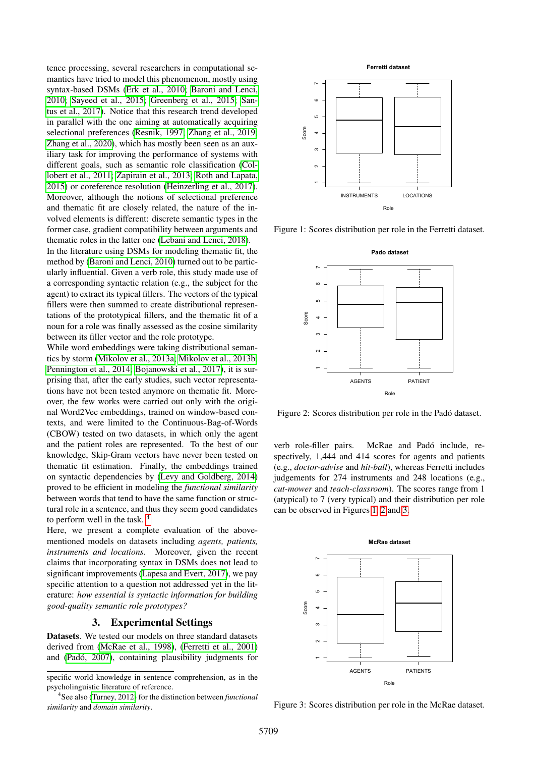tence processing, several researchers in computational semantics have tried to model this phenomenon, mostly using syntax-based DSMs [\(Erk et al., 2010;](#page-4-9) [Baroni and Lenci,](#page-4-10) [2010;](#page-4-10) [Sayeed et al., 2015;](#page-5-5) [Greenberg et al., 2015;](#page-4-11) [San](#page-5-6)[tus et al., 2017\)](#page-5-6). Notice that this research trend developed in parallel with the one aiming at automatically acquiring selectional preferences [\(Resnik, 1997;](#page-5-7) [Zhang et al., 2019;](#page-5-8) [Zhang et al., 2020\)](#page-5-9), which has mostly been seen as an auxiliary task for improving the performance of systems with different goals, such as semantic role classification [\(Col](#page-4-12)[lobert et al., 2011;](#page-4-12) [Zapirain et al., 2013;](#page-5-10) [Roth and Lapata,](#page-5-11) [2015\)](#page-5-11) or coreference resolution [\(Heinzerling et al., 2017\)](#page-4-13). Moreover, although the notions of selectional preference and thematic fit are closely related, the nature of the involved elements is different: discrete semantic types in the former case, gradient compatibility between arguments and thematic roles in the latter one [\(Lebani and Lenci, 2018\)](#page-4-14).

In the literature using DSMs for modeling thematic fit, the method by [\(Baroni and Lenci, 2010\)](#page-4-10) turned out to be particularly influential. Given a verb role, this study made use of a corresponding syntactic relation (e.g., the subject for the agent) to extract its typical fillers. The vectors of the typical fillers were then summed to create distributional representations of the prototypical fillers, and the thematic fit of a noun for a role was finally assessed as the cosine similarity between its filler vector and the role prototype.

While word embeddings were taking distributional semantics by storm [\(Mikolov et al., 2013a;](#page-5-0) [Mikolov et al., 2013b;](#page-5-1) [Pennington et al., 2014;](#page-5-12) [Bojanowski et al., 2017\)](#page-4-15), it is surprising that, after the early studies, such vector representations have not been tested anymore on thematic fit. Moreover, the few works were carried out only with the original Word2Vec embeddings, trained on window-based contexts, and were limited to the Continuous-Bag-of-Words (CBOW) tested on two datasets, in which only the agent and the patient roles are represented. To the best of our knowledge, Skip-Gram vectors have never been tested on thematic fit estimation. Finally, the embeddings trained on syntactic dependencies by [\(Levy and Goldberg, 2014\)](#page-4-5) proved to be efficient in modeling the *functional similarity* between words that tend to have the same function or structural role in a sentence, and thus they seem good candidates to perform well in the task. [4](#page-1-0)

Here, we present a complete evaluation of the abovementioned models on datasets including *agents, patients, instruments and locations*. Moreover, given the recent claims that incorporating syntax in DSMs does not lead to significant improvements [\(Lapesa and Evert, 2017\)](#page-4-16), we pay specific attention to a question not addressed yet in the literature: *how essential is syntactic information for building good-quality semantic role prototypes?*

#### 3. Experimental Settings

Datasets. We tested our models on three standard datasets derived from [\(McRae et al., 1998\)](#page-5-3), [\(Ferretti et al., 2001\)](#page-4-17) and (Padó, 2007), containing plausibility judgments for



<span id="page-1-1"></span>Figure 1: Scores distribution per role in the Ferretti dataset.



<span id="page-1-2"></span>Figure 2: Scores distribution per role in the Padó dataset.

verb role-filler pairs. McRae and Padó include, respectively, 1,444 and 414 scores for agents and patients (e.g., *doctor-advise* and *hit-ball*), whereas Ferretti includes judgements for 274 instruments and 248 locations (e.g., *cut-mower* and *teach-classroom*). The scores range from 1 (atypical) to 7 (very typical) and their distribution per role can be observed in Figures 1, 2 and 3.



<span id="page-1-3"></span>Figure 3: Scores distribution per role in the McRae dataset.

specific world knowledge in sentence comprehension, as in the psycholinguistic literature of reference.

<span id="page-1-0"></span><sup>4</sup> See also [\(Turney, 2012\)](#page-5-14) for the distinction between *functional similarity* and *domain similarity*.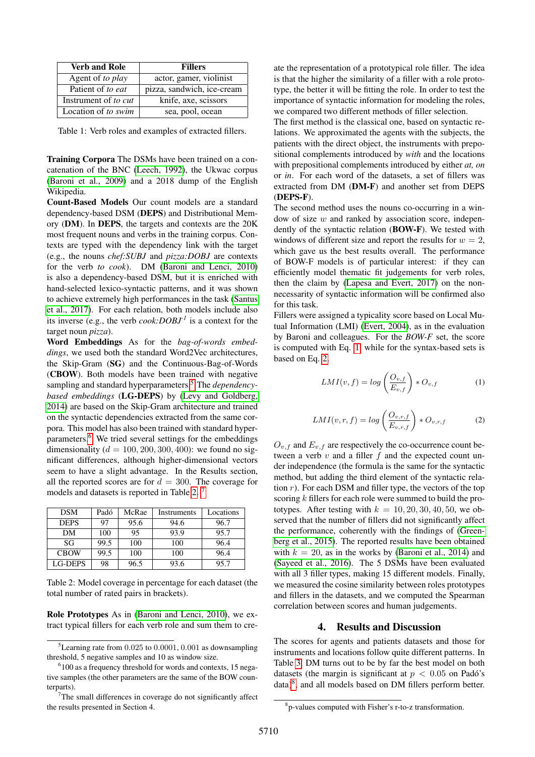| <b>Verb and Role</b>     | <b>Fillers</b>             |  |  |
|--------------------------|----------------------------|--|--|
| Agent of <i>to play</i>  | actor, gamer, violinist    |  |  |
| Patient of <i>to eat</i> | pizza, sandwich, ice-cream |  |  |
| Instrument of to cut     | knife, axe, scissors       |  |  |
| Location of to swim      | sea, pool, ocean           |  |  |

Table 1: Verb roles and examples of extracted fillers.

Training Corpora The DSMs have been trained on a concatenation of the BNC [\(Leech, 1992\)](#page-4-18), the Ukwac corpus [\(Baroni et al., 2009\)](#page-4-19) and a 2018 dump of the English Wikipedia.

Count-Based Models Our count models are a standard dependency-based DSM (DEPS) and Distributional Memory (DM). In DEPS, the targets and contexts are the 20K most frequent nouns and verbs in the training corpus. Contexts are typed with the dependency link with the target (e.g., the nouns *chef:SUBJ* and *pizza:DOBJ* are contexts for the verb *to cook*). DM [\(Baroni and Lenci, 2010\)](#page-4-10) is also a dependency-based DSM, but it is enriched with hand-selected lexico-syntactic patterns, and it was shown to achieve extremely high performances in the task [\(Santus](#page-5-6) [et al., 2017\)](#page-5-6). For each relation, both models include also its inverse (e.g., the verb *cook:DOBJ-1* is a context for the target noun *pizza*).

Word Embeddings As for the *bag-of-words embeddings*, we used both the standard Word2Vec architectures, the Skip-Gram (SG) and the Continuous-Bag-of-Words (CBOW). Both models have been trained with negative sampling and standard hyperparameters.[5](#page-2-0) The *dependencybased embeddings* (LG-DEPS) by [\(Levy and Goldberg,](#page-4-5) [2014\)](#page-4-5) are based on the Skip-Gram architecture and trained on the syntactic dependencies extracted from the same corpora. This model has also been trained with standard hyperparameters.[6](#page-2-1) We tried several settings for the embeddings dimensionality ( $d = 100, 200, 300, 400$ ): we found no significant differences, although higher-dimensional vectors seem to have a slight advantage. In the Results section, all the reported scores are for  $d = 300$ . The coverage for models and datasets is reported in Table [2.](#page-2-2)<sup>[7](#page-2-3)</sup>

| <b>DSM</b>     | Padó | McRae | Instruments | Locations |
|----------------|------|-------|-------------|-----------|
| <b>DEPS</b>    | 97   | 95.6  | 94.6        | 96.7      |
| DM             | 100  | 95    | 93.9        | 95.7      |
| SG             | 99.5 | 100   | 100         | 96.4      |
| <b>CBOW</b>    | 99.5 | 100   | 100         | 96.4      |
| <b>LG-DEPS</b> | 98   | 96.5  | 93.6        | 95.7      |

<span id="page-2-2"></span>Table 2: Model coverage in percentage for each dataset (the total number of rated pairs in brackets).

Role Prototypes As in [\(Baroni and Lenci, 2010\)](#page-4-10), we extract typical fillers for each verb role and sum them to create the representation of a prototypical role filler. The idea is that the higher the similarity of a filler with a role prototype, the better it will be fitting the role. In order to test the importance of syntactic information for modeling the roles, we compared two different methods of filler selection.

The first method is the classical one, based on syntactic relations. We approximated the agents with the subjects, the patients with the direct object, the instruments with prepositional complements introduced by *with* and the locations with prepositional complements introduced by either *at, on* or *in*. For each word of the datasets, a set of fillers was extracted from DM (DM-F) and another set from DEPS (DEPS-F).

The second method uses the nouns co-occurring in a window of size  $w$  and ranked by association score, independently of the syntactic relation (BOW-F). We tested with windows of different size and report the results for  $w = 2$ , which gave us the best results overall. The performance of BOW-F models is of particular interest: if they can efficiently model thematic fit judgements for verb roles, then the claim by [\(Lapesa and Evert, 2017\)](#page-4-16) on the nonnecessarity of syntactic information will be confirmed also for this task.

Fillers were assigned a typicality score based on Local Mutual Information (LMI) [\(Evert, 2004\)](#page-4-20), as in the evaluation by Baroni and colleagues. For the *BOW-F* set, the score is computed with Eq. [1,](#page-2-4) while for the syntax-based sets is based on Eq. [2.](#page-2-5)

<span id="page-2-4"></span>
$$
LMI(v, f) = log\left(\frac{O_{v, f}}{E_{v, f}}\right) * O_{v, f}
$$
 (1)

<span id="page-2-5"></span>
$$
LMI(v,r,f) = \log\left(\frac{O_{v,r,f}}{E_{v,r,f}}\right) * O_{v,r,f}
$$
 (2)

 $O_{v,f}$  and  $E_{v,f}$  are respectively the co-occurrence count between a verb  $v$  and a filler  $f$  and the expected count under independence (the formula is the same for the syntactic method, but adding the third element of the syntactic relation  $r$ ). For each DSM and filler type, the vectors of the top scoring k fillers for each role were summed to build the prototypes. After testing with  $k = 10, 20, 30, 40, 50$ , we observed that the number of fillers did not significantly affect the performance, coherently with the findings of [\(Green](#page-4-11)[berg et al., 2015\)](#page-4-11). The reported results have been obtained with  $k = 20$ , as in the works by [\(Baroni et al., 2014\)](#page-4-0) and [\(Sayeed et al., 2016\)](#page-5-2). The 5 DSMs have been evaluated with all 3 filler types, making 15 different models. Finally, we measured the cosine similarity between roles prototypes and fillers in the datasets, and we computed the Spearman correlation between scores and human judgements.

#### 4. Results and Discussion

The scores for agents and patients datasets and those for instruments and locations follow quite different patterns. In Table [3,](#page-3-0) DM turns out to be by far the best model on both datasets (the margin is significant at  $p < 0.05$  on Padó's data)<sup>[8](#page-2-6)</sup>, and all models based on DM fillers perform better.

<span id="page-2-0"></span><sup>5</sup>Learning rate from 0.025 to 0.0001, 0.001 as downsampling threshold, 5 negative samples and 10 as window size.

<span id="page-2-1"></span><sup>&</sup>lt;sup>6</sup>100 as a frequency threshold for words and contexts, 15 negative samples (the other parameters are the same of the BOW counterparts).

<span id="page-2-3"></span><sup>&</sup>lt;sup>7</sup>The small differences in coverage do not significantly affect the results presented in Section 4.

<span id="page-2-6"></span><sup>8</sup> p-values computed with Fisher's r-to-z transformation.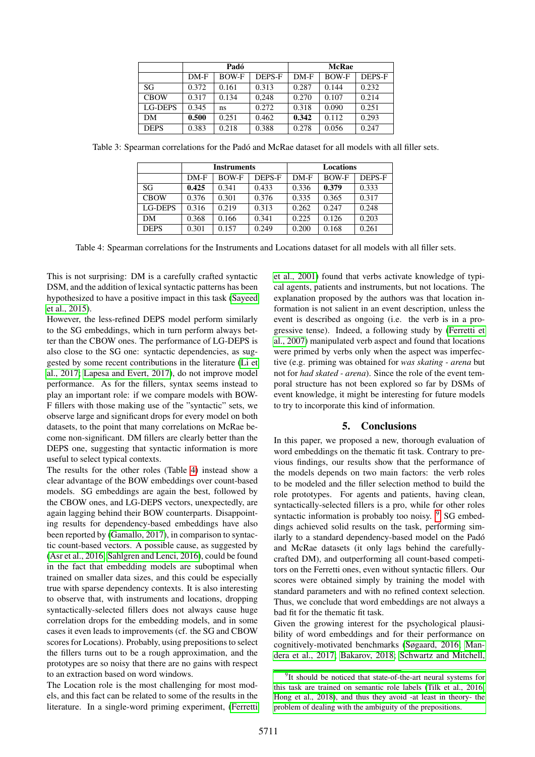|             | Padó   |              |               | <b>McRae</b> |              |        |
|-------------|--------|--------------|---------------|--------------|--------------|--------|
|             | $DM-F$ | <b>BOW-F</b> | <b>DEPS-F</b> | $DM-F$       | <b>BOW-F</b> | DEPS-F |
| SG          | 0.372  | 0.161        | 0.313         | 0.287        | 0.144        | 0.232  |
| <b>CBOW</b> | 0.317  | 0.134        | 0.248         | 0.270        | 0.107        | 0.214  |
| LG-DEPS     | 0.345  | ns           | 0.272         | 0.318        | 0.090        | 0.251  |
| DM          | 0.500  | 0.251        | 0.462         | 0.342        | 0.112        | 0.293  |
| <b>DEPS</b> | 0.383  | 0.218        | 0.388         | 0.278        | 0.056        | 0.247  |

<span id="page-3-0"></span>

|             | <b>Instruments</b> |              |        | Locations |              |        |
|-------------|--------------------|--------------|--------|-----------|--------------|--------|
|             | $DM-F$             | <b>BOW-F</b> | DEPS-F | $DM-F$    | <b>BOW-F</b> | DEPS-F |
| SG          | 0.425              | 0.341        | 0.433  | 0.336     | 0.379        | 0.333  |
| <b>CBOW</b> | 0.376              | 0.301        | 0.376  | 0.335     | 0.365        | 0.317  |
| LG-DEPS     | 0.316              | 0.219        | 0.313  | 0.262     | 0.247        | 0.248  |
| DM          | 0.368              | 0.166        | 0.341  | 0.225     | 0.126        | 0.203  |
| <b>DEPS</b> | 0.301              | 0.157        | 0.249  | 0.200     | 0.168        | 0.261  |

Table 3: Spearman correlations for the Padó and McRae dataset for all models with all filler sets.

<span id="page-3-1"></span>Table 4: Spearman correlations for the Instruments and Locations dataset for all models with all filler sets.

This is not surprising: DM is a carefully crafted syntactic DSM, and the addition of lexical syntactic patterns has been hypothesized to have a positive impact in this task [\(Sayeed](#page-5-5) [et al., 2015\)](#page-5-5).

However, the less-refined DEPS model perform similarly to the SG embeddings, which in turn perform always better than the CBOW ones. The performance of LG-DEPS is also close to the SG one: syntactic dependencies, as suggested by some recent contributions in the literature [\(Li et](#page-4-21) [al., 2017;](#page-4-21) [Lapesa and Evert, 2017\)](#page-4-16), do not improve model performance. As for the fillers, syntax seems instead to play an important role: if we compare models with BOW-F fillers with those making use of the "syntactic" sets, we observe large and significant drops for every model on both datasets, to the point that many correlations on McRae become non-significant. DM fillers are clearly better than the DEPS one, suggesting that syntactic information is more useful to select typical contexts.

The results for the other roles (Table [4\)](#page-3-1) instead show a clear advantage of the BOW embeddings over count-based models. SG embeddings are again the best, followed by the CBOW ones, and LG-DEPS vectors, unexpectedly, are again lagging behind their BOW counterparts. Disappointing results for dependency-based embeddings have also been reported by [\(Gamallo, 2017\)](#page-4-4), in comparison to syntactic count-based vectors. A possible cause, as suggested by [\(Asr et al., 2016;](#page-4-22) [Sahlgren and Lenci, 2016\)](#page-5-15), could be found in the fact that embedding models are suboptimal when trained on smaller data sizes, and this could be especially true with sparse dependency contexts. It is also interesting to observe that, with instruments and locations, dropping syntactically-selected fillers does not always cause huge correlation drops for the embedding models, and in some cases it even leads to improvements (cf. the SG and CBOW scores for Locations). Probably, using prepositions to select the fillers turns out to be a rough approximation, and the prototypes are so noisy that there are no gains with respect to an extraction based on word windows.

The Location role is the most challenging for most models, and this fact can be related to some of the results in the literature. In a single-word priming experiment, [\(Ferretti](#page-4-17) [et al., 2001\)](#page-4-17) found that verbs activate knowledge of typical agents, patients and instruments, but not locations. The explanation proposed by the authors was that location information is not salient in an event description, unless the event is described as ongoing (i.e. the verb is in a progressive tense). Indeed, a following study by [\(Ferretti et](#page-4-23) [al., 2007\)](#page-4-23) manipulated verb aspect and found that locations were primed by verbs only when the aspect was imperfective (e.g. priming was obtained for *was skating - arena* but not for *had skated - arena*). Since the role of the event temporal structure has not been explored so far by DSMs of event knowledge, it might be interesting for future models to try to incorporate this kind of information.

# 5. Conclusions

In this paper, we proposed a new, thorough evaluation of word embeddings on the thematic fit task. Contrary to previous findings, our results show that the performance of the models depends on two main factors: the verb roles to be modeled and the filler selection method to build the role prototypes. For agents and patients, having clean, syntactically-selected fillers is a pro, while for other roles syntactic information is probably too noisy. <sup>[9](#page-3-2)</sup> SG embeddings achieved solid results on the task, performing similarly to a standard dependency-based model on the Pado´ and McRae datasets (it only lags behind the carefullycrafted DM), and outperforming all count-based competitors on the Ferretti ones, even without syntactic fillers. Our scores were obtained simply by training the model with standard parameters and with no refined context selection. Thus, we conclude that word embeddings are not always a bad fit for the thematic fit task.

Given the growing interest for the psychological plausibility of word embeddings and for their performance on cognitively-motivated benchmarks [\(Søgaard, 2016;](#page-5-16) [Man](#page-4-24)[dera et al., 2017;](#page-4-24) [Bakarov, 2018;](#page-4-25) [Schwartz and Mitchell,](#page-5-17)

<span id="page-3-2"></span><sup>&</sup>lt;sup>9</sup>[It should be noticed that state-of-the-art neural systems for](#page-5-17) [this task are trained on semantic role labels \(Tilk et al., 2016;](#page-5-17) [Hong et al., 2018\), and thus they avoid -at least in theory- the](#page-5-17) [problem of dealing with the ambiguity of the prepositions.](#page-5-17)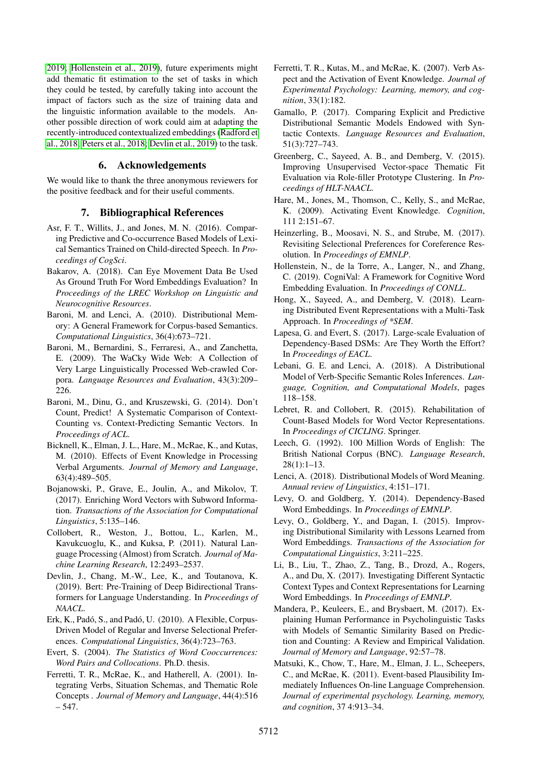[2019;](#page-5-17) [Hollenstein et al., 2019\)](#page-4-27), future experiments might add thematic fit estimation to the set of tasks in which they could be tested, by carefully taking into account the impact of factors such as the size of training data and the linguistic information available to the models. Another possible direction of work could aim at adapting the recently-introduced contextualized embeddings [\(Radford et](#page-5-19) [al., 2018;](#page-5-19) [Peters et al., 2018;](#page-5-20) [Devlin et al., 2019\)](#page-4-28) to the task.

# 6. Acknowledgements

We would like to thank the three anonymous reviewers for the positive feedback and for their useful comments.

### 7. Bibliographical References

- <span id="page-4-22"></span>Asr, F. T., Willits, J., and Jones, M. N. (2016). Comparing Predictive and Co-occurrence Based Models of Lexical Semantics Trained on Child-directed Speech. In *Proceedings of CogSci*.
- <span id="page-4-25"></span>Bakarov, A. (2018). Can Eye Movement Data Be Used As Ground Truth For Word Embeddings Evaluation? In *Proceedings of the LREC Workshop on Linguistic and Neurocognitive Resources*.
- <span id="page-4-10"></span>Baroni, M. and Lenci, A. (2010). Distributional Memory: A General Framework for Corpus-based Semantics. *Computational Linguistics*, 36(4):673–721.
- <span id="page-4-19"></span>Baroni, M., Bernardini, S., Ferraresi, A., and Zanchetta, E. (2009). The WaCky Wide Web: A Collection of Very Large Linguistically Processed Web-crawled Corpora. *Language Resources and Evaluation*, 43(3):209– 226.
- <span id="page-4-0"></span>Baroni, M., Dinu, G., and Kruszewski, G. (2014). Don't Count, Predict! A Systematic Comparison of Context-Counting vs. Context-Predicting Semantic Vectors. In *Proceedings of ACL*.
- <span id="page-4-7"></span>Bicknell, K., Elman, J. L., Hare, M., McRae, K., and Kutas, M. (2010). Effects of Event Knowledge in Processing Verbal Arguments. *Journal of Memory and Language*, 63(4):489–505.
- <span id="page-4-15"></span>Bojanowski, P., Grave, E., Joulin, A., and Mikolov, T. (2017). Enriching Word Vectors with Subword Information. *Transactions of the Association for Computational Linguistics*, 5:135–146.
- <span id="page-4-12"></span>Collobert, R., Weston, J., Bottou, L., Karlen, M., Kavukcuoglu, K., and Kuksa, P. (2011). Natural Language Processing (Almost) from Scratch. *Journal of Machine Learning Research*, 12:2493–2537.
- <span id="page-4-28"></span>Devlin, J., Chang, M.-W., Lee, K., and Toutanova, K. (2019). Bert: Pre-Training of Deep Bidirectional Transformers for Language Understanding. In *Proceedings of NAACL*.
- <span id="page-4-9"></span>Erk, K., Padó, S., and Padó, U. (2010). A Flexible, Corpus-Driven Model of Regular and Inverse Selectional Preferences. *Computational Linguistics*, 36(4):723–763.
- <span id="page-4-20"></span>Evert, S. (2004). *The Statistics of Word Cooccurrences: Word Pairs and Collocations*. Ph.D. thesis.
- <span id="page-4-17"></span>Ferretti, T. R., McRae, K., and Hatherell, A. (2001). Integrating Verbs, Situation Schemas, and Thematic Role Concepts . *Journal of Memory and Language*, 44(4):516 – 547.
- <span id="page-4-23"></span>Ferretti, T. R., Kutas, M., and McRae, K. (2007). Verb Aspect and the Activation of Event Knowledge. *Journal of Experimental Psychology: Learning, memory, and cognition*, 33(1):182.
- <span id="page-4-4"></span>Gamallo, P. (2017). Comparing Explicit and Predictive Distributional Semantic Models Endowed with Syntactic Contexts. *Language Resources and Evaluation*, 51(3):727–743.
- <span id="page-4-11"></span>Greenberg, C., Sayeed, A. B., and Demberg, V. (2015). Improving Unsupervised Vector-space Thematic Fit Evaluation via Role-filler Prototype Clustering. In *Proceedings of HLT-NAACL*.
- <span id="page-4-6"></span>Hare, M., Jones, M., Thomson, C., Kelly, S., and McRae, K. (2009). Activating Event Knowledge. *Cognition*, 111 2:151–67.
- <span id="page-4-13"></span>Heinzerling, B., Moosavi, N. S., and Strube, M. (2017). Revisiting Selectional Preferences for Coreference Resolution. In *Proceedings of EMNLP*.
- <span id="page-4-27"></span>Hollenstein, N., de la Torre, A., Langer, N., and Zhang, C. (2019). CogniVal: A Framework for Cognitive Word Embedding Evaluation. In *Proceedings of CONLL*.
- <span id="page-4-26"></span>Hong, X., Sayeed, A., and Demberg, V. (2018). Learning Distributed Event Representations with a Multi-Task Approach. In *Proceedings of \*SEM*.
- <span id="page-4-16"></span>Lapesa, G. and Evert, S. (2017). Large-scale Evaluation of Dependency-Based DSMs: Are They Worth the Effort? In *Proceedings of EACL*.
- <span id="page-4-14"></span>Lebani, G. E. and Lenci, A. (2018). A Distributional Model of Verb-Specific Semantic Roles Inferences. *Language, Cognition, and Computational Models*, pages 118–158.
- <span id="page-4-3"></span>Lebret, R. and Collobert, R. (2015). Rehabilitation of Count-Based Models for Word Vector Representations. In *Proceedings of CICLING*. Springer.
- <span id="page-4-18"></span>Leech, G. (1992). 100 Million Words of English: The British National Corpus (BNC). *Language Research*, 28(1):1–13.
- <span id="page-4-1"></span>Lenci, A. (2018). Distributional Models of Word Meaning. *Annual review of Linguistics*, 4:151–171.
- <span id="page-4-5"></span>Levy, O. and Goldberg, Y. (2014). Dependency-Based Word Embeddings. In *Proceedings of EMNLP*.
- <span id="page-4-2"></span>Levy, O., Goldberg, Y., and Dagan, I. (2015). Improving Distributional Similarity with Lessons Learned from Word Embeddings. *Transactions of the Association for Computational Linguistics*, 3:211–225.
- <span id="page-4-21"></span>Li, B., Liu, T., Zhao, Z., Tang, B., Drozd, A., Rogers, A., and Du, X. (2017). Investigating Different Syntactic Context Types and Context Representations for Learning Word Embeddings. In *Proceedings of EMNLP*.
- <span id="page-4-24"></span>Mandera, P., Keuleers, E., and Brysbaert, M. (2017). Explaining Human Performance in Psycholinguistic Tasks with Models of Semantic Similarity Based on Prediction and Counting: A Review and Empirical Validation. *Journal of Memory and Language*, 92:57–78.
- <span id="page-4-8"></span>Matsuki, K., Chow, T., Hare, M., Elman, J. L., Scheepers, C., and McRae, K. (2011). Event-based Plausibility Immediately Influences On-line Language Comprehension. *Journal of experimental psychology. Learning, memory, and cognition*, 37 4:913–34.